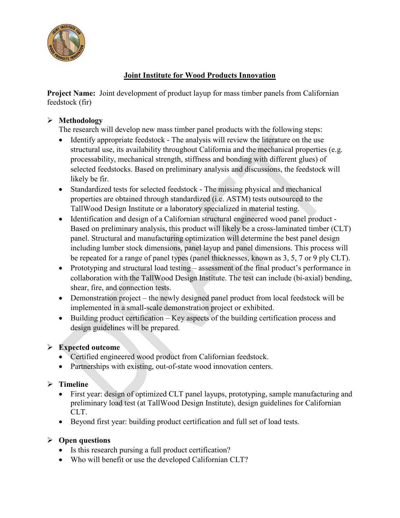

### **Joint Institute for Wood Products Innovation**

**Project Name:** Joint development of product layup for mass timber panels from Californian feedstock (fir)

## **Methodology**

The research will develop new mass timber panel products with the following steps:

- Identify appropriate feedstock The analysis will review the literature on the use structural use, its availability throughout California and the mechanical properties (e.g. processability, mechanical strength, stiffness and bonding with different glues) of selected feedstocks. Based on preliminary analysis and discussions, the feedstock will likely be fir.
- Standardized tests for selected feedstock The missing physical and mechanical properties are obtained through standardized (i.e. ASTM) tests outsourced to the TallWood Design Institute or a laboratory specialized in material testing.
- Identification and design of a Californian structural engineered wood panel product Based on preliminary analysis, this product will likely be a cross-laminated timber (CLT) panel. Structural and manufacturing optimization will determine the best panel design including lumber stock dimensions, panel layup and panel dimensions. This process will be repeated for a range of panel types (panel thicknesses, known as 3, 5, 7 or 9 ply CLT).
- Prototyping and structural load testing assessment of the final product's performance in collaboration with the TallWood Design Institute. The test can include (bi-axial) bending, shear, fire, and connection tests.
- Demonstration project the newly designed panel product from local feedstock will be implemented in a small-scale demonstration project or exhibited.
- Building product certification Key aspects of the building certification process and design guidelines will be prepared.

# **Expected outcome**

- Certified engineered wood product from Californian feedstock.
- Partnerships with existing, out-of-state wood innovation centers.

# **Timeline**

- First year: design of optimized CLT panel layups, prototyping, sample manufacturing and preliminary load test (at TallWood Design Institute), design guidelines for Californian CLT.
- Beyond first year: building product certification and full set of load tests.

#### **Open questions**

- Is this research pursing a full product certification?
- Who will benefit or use the developed Californian CLT?